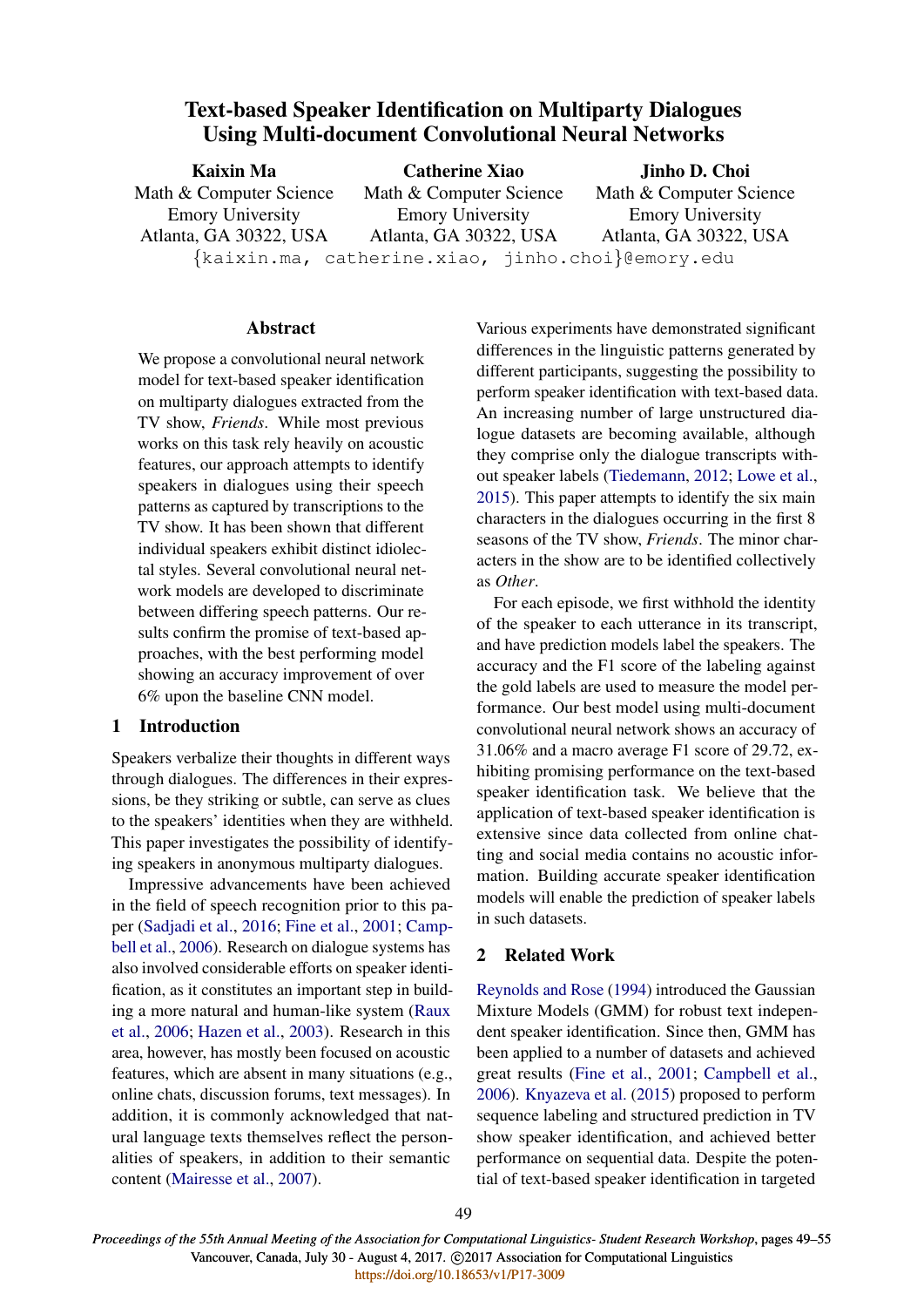# Text-based Speaker Identification on Multiparty Dialogues Using Multi-document Convolutional Neural Networks

| <b>Kaixin Ma</b>        | <b>Catherine Xiao</b>                                   | Jinho D. Choi           |  |  |  |
|-------------------------|---------------------------------------------------------|-------------------------|--|--|--|
| Math & Computer Science | Math & Computer Science                                 | Math & Computer Science |  |  |  |
| <b>Emory University</b> | <b>Emory University</b>                                 | <b>Emory University</b> |  |  |  |
| Atlanta, GA 30322, USA  | Atlanta, GA 30322, USA                                  | Atlanta, GA 30322, USA  |  |  |  |
|                         | $\{kairin.mac, catherine.xiao, jinho.choi\}$ @emory.edu |                         |  |  |  |

# **Abstract**

We propose a convolutional neural network model for text-based speaker identification on multiparty dialogues extracted from the TV show, *Friends*. While most previous works on this task rely heavily on acoustic features, our approach attempts to identify speakers in dialogues using their speech patterns as captured by transcriptions to the TV show. It has been shown that different individual speakers exhibit distinct idiolectal styles. Several convolutional neural network models are developed to discriminate between differing speech patterns. Our results confirm the promise of text-based approaches, with the best performing model showing an accuracy improvement of over 6% upon the baseline CNN model.

# 1 Introduction

Speakers verbalize their thoughts in different ways through dialogues. The differences in their expressions, be they striking or subtle, can serve as clues to the speakers' identities when they are withheld. This paper investigates the possibility of identifying speakers in anonymous multiparty dialogues.

Impressive advancements have been achieved in the field of speech recognition prior to this paper (Sadjadi et al., 2016; Fine et al., 2001; Campbell et al., 2006). Research on dialogue systems has also involved considerable efforts on speaker identification, as it constitutes an important step in building a more natural and human-like system (Raux et al., 2006; Hazen et al., 2003). Research in this area, however, has mostly been focused on acoustic features, which are absent in many situations (e.g., online chats, discussion forums, text messages). In addition, it is commonly acknowledged that natural language texts themselves reflect the personalities of speakers, in addition to their semantic content (Mairesse et al., 2007).

Various experiments have demonstrated significant differences in the linguistic patterns generated by different participants, suggesting the possibility to perform speaker identification with text-based data. An increasing number of large unstructured dialogue datasets are becoming available, although they comprise only the dialogue transcripts without speaker labels (Tiedemann, 2012; Lowe et al., 2015). This paper attempts to identify the six main characters in the dialogues occurring in the first 8 seasons of the TV show, *Friends*. The minor characters in the show are to be identified collectively as *Other*.

For each episode, we first withhold the identity of the speaker to each utterance in its transcript, and have prediction models label the speakers. The accuracy and the F1 score of the labeling against the gold labels are used to measure the model performance. Our best model using multi-document convolutional neural network shows an accuracy of 31.06% and a macro average F1 score of 29.72, exhibiting promising performance on the text-based speaker identification task. We believe that the application of text-based speaker identification is extensive since data collected from online chatting and social media contains no acoustic information. Building accurate speaker identification models will enable the prediction of speaker labels in such datasets.

# 2 Related Work

Reynolds and Rose (1994) introduced the Gaussian Mixture Models (GMM) for robust text independent speaker identification. Since then, GMM has been applied to a number of datasets and achieved great results (Fine et al., 2001; Campbell et al., 2006). Knyazeva et al. (2015) proposed to perform sequence labeling and structured prediction in TV show speaker identification, and achieved better performance on sequential data. Despite the potential of text-based speaker identification in targeted

*Proceedings of the 55th Annual Meeting of the Association for Computational Linguistics- Student Research Workshop*, pages 49–55 Vancouver, Canada, July 30 - August 4, 2017. @2017 Association for Computational Linguistics <https://doi.org/10.18653/v1/P17-3009>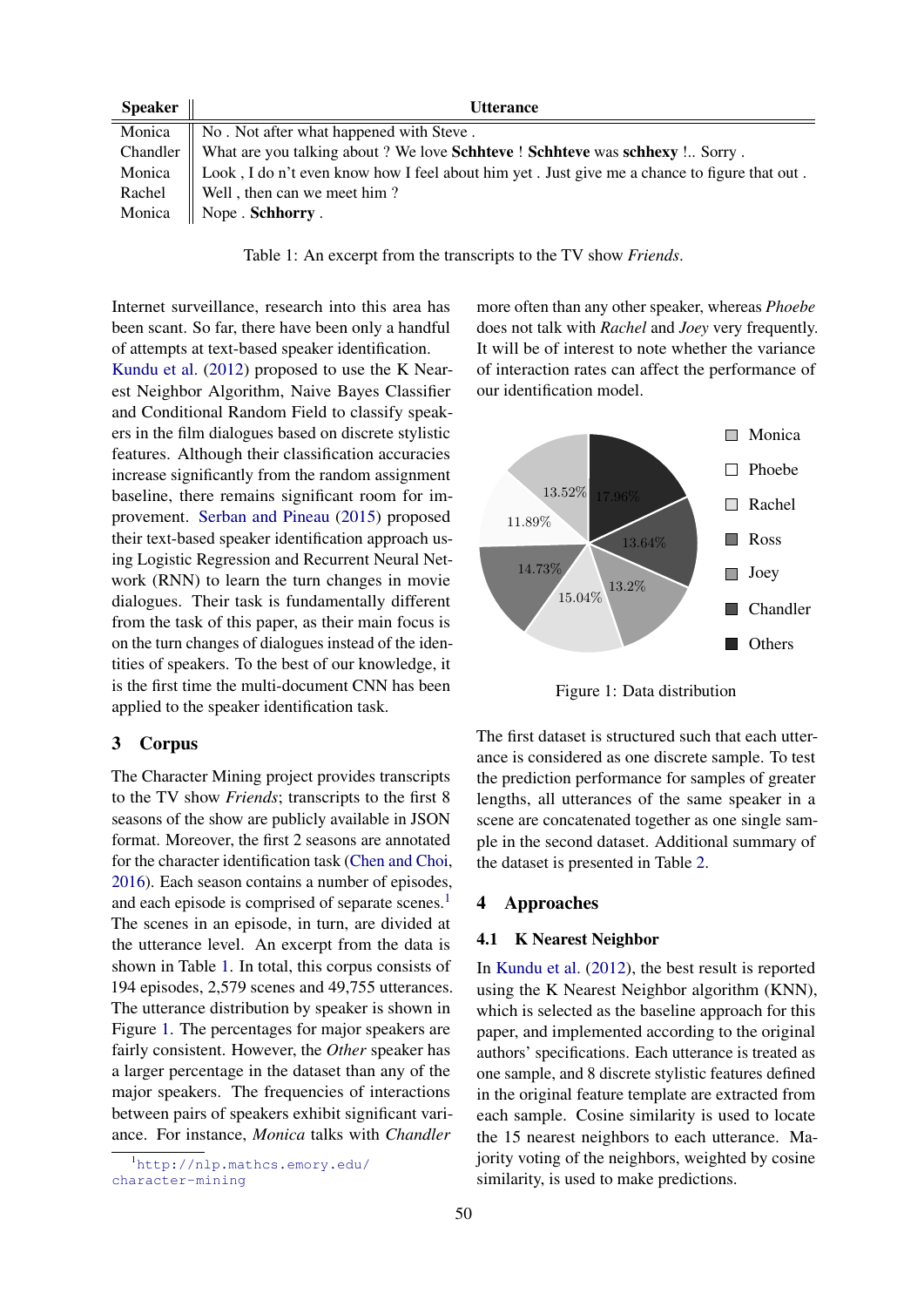| <b>Speaker</b> | <b>Utterance</b>                                                                                      |
|----------------|-------------------------------------------------------------------------------------------------------|
| Monica         | $\parallel$ No. Not after what happened with Steve.                                                   |
|                | Chandler    What are you talking about ? We love Schhteve ! Schhteve was schhexy ! Sorry .            |
|                | Monica   Look, I do n't even know how I feel about him yet. Just give me a chance to figure that out. |
|                | Rachel $\parallel$ Well, then can we meet him?                                                        |
| Monica         | $\parallel$ Nope . Schhorry .                                                                         |

Table 1: An excerpt from the transcripts to the TV show *Friends*.

Internet surveillance, research into this area has been scant. So far, there have been only a handful of attempts at text-based speaker identification.

Kundu et al. (2012) proposed to use the K Nearest Neighbor Algorithm, Naive Bayes Classifier and Conditional Random Field to classify speakers in the film dialogues based on discrete stylistic features. Although their classification accuracies increase significantly from the random assignment baseline, there remains significant room for improvement. Serban and Pineau (2015) proposed their text-based speaker identification approach using Logistic Regression and Recurrent Neural Network (RNN) to learn the turn changes in movie dialogues. Their task is fundamentally different from the task of this paper, as their main focus is on the turn changes of dialogues instead of the identities of speakers. To the best of our knowledge, it is the first time the multi-document CNN has been applied to the speaker identification task.

# 3 Corpus

The Character Mining project provides transcripts to the TV show *Friends*; transcripts to the first 8 seasons of the show are publicly available in JSON format. Moreover, the first 2 seasons are annotated for the character identification task (Chen and Choi, 2016). Each season contains a number of episodes, and each episode is comprised of separate scenes.<sup>1</sup> The scenes in an episode, in turn, are divided at the utterance level. An excerpt from the data is shown in Table 1. In total, this corpus consists of 194 episodes, 2,579 scenes and 49,755 utterances. The utterance distribution by speaker is shown in Figure 1. The percentages for major speakers are fairly consistent. However, the *Other* speaker has a larger percentage in the dataset than any of the major speakers. The frequencies of interactions between pairs of speakers exhibit significant variance. For instance, *Monica* talks with *Chandler*

more often than any other speaker, whereas *Phoebe* does not talk with *Rachel* and *Joey* very frequently. It will be of interest to note whether the variance of interaction rates can affect the performance of our identification model.



Figure 1: Data distribution

The first dataset is structured such that each utterance is considered as one discrete sample. To test the prediction performance for samples of greater lengths, all utterances of the same speaker in a scene are concatenated together as one single sample in the second dataset. Additional summary of the dataset is presented in Table 2.

### 4 Approaches

#### 4.1 K Nearest Neighbor

In Kundu et al. (2012), the best result is reported using the K Nearest Neighbor algorithm (KNN), which is selected as the baseline approach for this paper, and implemented according to the original authors' specifications. Each utterance is treated as one sample, and 8 discrete stylistic features defined in the original feature template are extracted from each sample. Cosine similarity is used to locate the 15 nearest neighbors to each utterance. Majority voting of the neighbors, weighted by cosine similarity, is used to make predictions.

<sup>1</sup>http://nlp.mathcs.emory.edu/ character-mining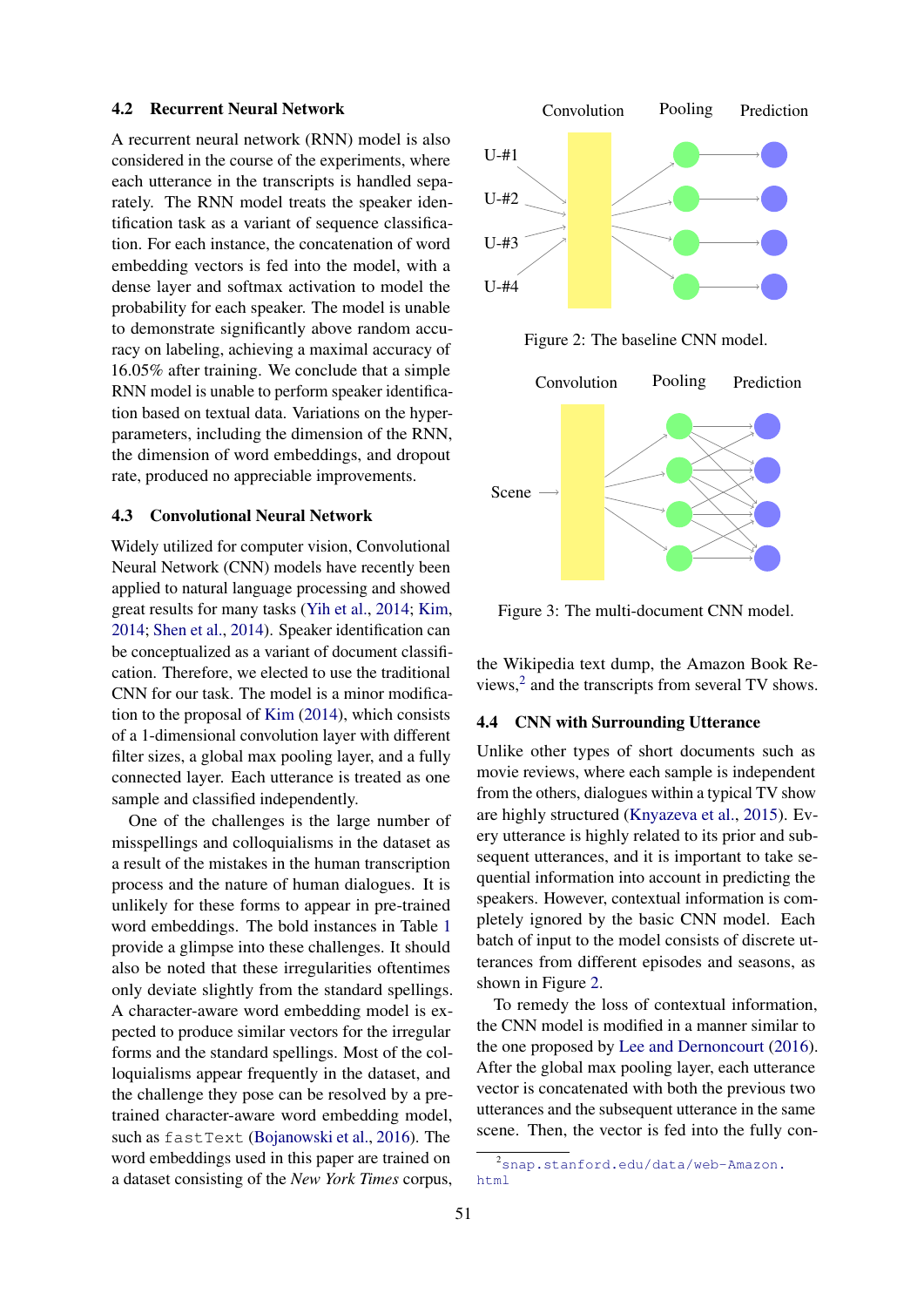#### 4.2 Recurrent Neural Network

A recurrent neural network (RNN) model is also considered in the course of the experiments, where each utterance in the transcripts is handled separately. The RNN model treats the speaker identification task as a variant of sequence classification. For each instance, the concatenation of word embedding vectors is fed into the model, with a dense layer and softmax activation to model the probability for each speaker. The model is unable to demonstrate significantly above random accuracy on labeling, achieving a maximal accuracy of 16.05% after training. We conclude that a simple RNN model is unable to perform speaker identification based on textual data. Variations on the hyperparameters, including the dimension of the RNN, the dimension of word embeddings, and dropout rate, produced no appreciable improvements.

### 4.3 Convolutional Neural Network

Widely utilized for computer vision, Convolutional Neural Network (CNN) models have recently been applied to natural language processing and showed great results for many tasks (Yih et al., 2014; Kim, 2014; Shen et al., 2014). Speaker identification can be conceptualized as a variant of document classification. Therefore, we elected to use the traditional CNN for our task. The model is a minor modification to the proposal of Kim (2014), which consists of a 1-dimensional convolution layer with different filter sizes, a global max pooling layer, and a fully connected layer. Each utterance is treated as one sample and classified independently.

One of the challenges is the large number of misspellings and colloquialisms in the dataset as a result of the mistakes in the human transcription process and the nature of human dialogues. It is unlikely for these forms to appear in pre-trained word embeddings. The bold instances in Table 1 provide a glimpse into these challenges. It should also be noted that these irregularities oftentimes only deviate slightly from the standard spellings. A character-aware word embedding model is expected to produce similar vectors for the irregular forms and the standard spellings. Most of the colloquialisms appear frequently in the dataset, and the challenge they pose can be resolved by a pretrained character-aware word embedding model, such as fastText (Bojanowski et al., 2016). The word embeddings used in this paper are trained on a dataset consisting of the *New York Times* corpus,



Figure 2: The baseline CNN model.



Figure 3: The multi-document CNN model.

the Wikipedia text dump, the Amazon Book Reviews, $2$  and the transcripts from several TV shows.

# 4.4 CNN with Surrounding Utterance

Unlike other types of short documents such as movie reviews, where each sample is independent from the others, dialogues within a typical TV show are highly structured (Knyazeva et al., 2015). Every utterance is highly related to its prior and subsequent utterances, and it is important to take sequential information into account in predicting the speakers. However, contextual information is completely ignored by the basic CNN model. Each batch of input to the model consists of discrete utterances from different episodes and seasons, as shown in Figure 2.

To remedy the loss of contextual information, the CNN model is modified in a manner similar to the one proposed by Lee and Dernoncourt (2016). After the global max pooling layer, each utterance vector is concatenated with both the previous two utterances and the subsequent utterance in the same scene. Then, the vector is fed into the fully con-

<sup>2</sup>snap.stanford.edu/data/web-Amazon. html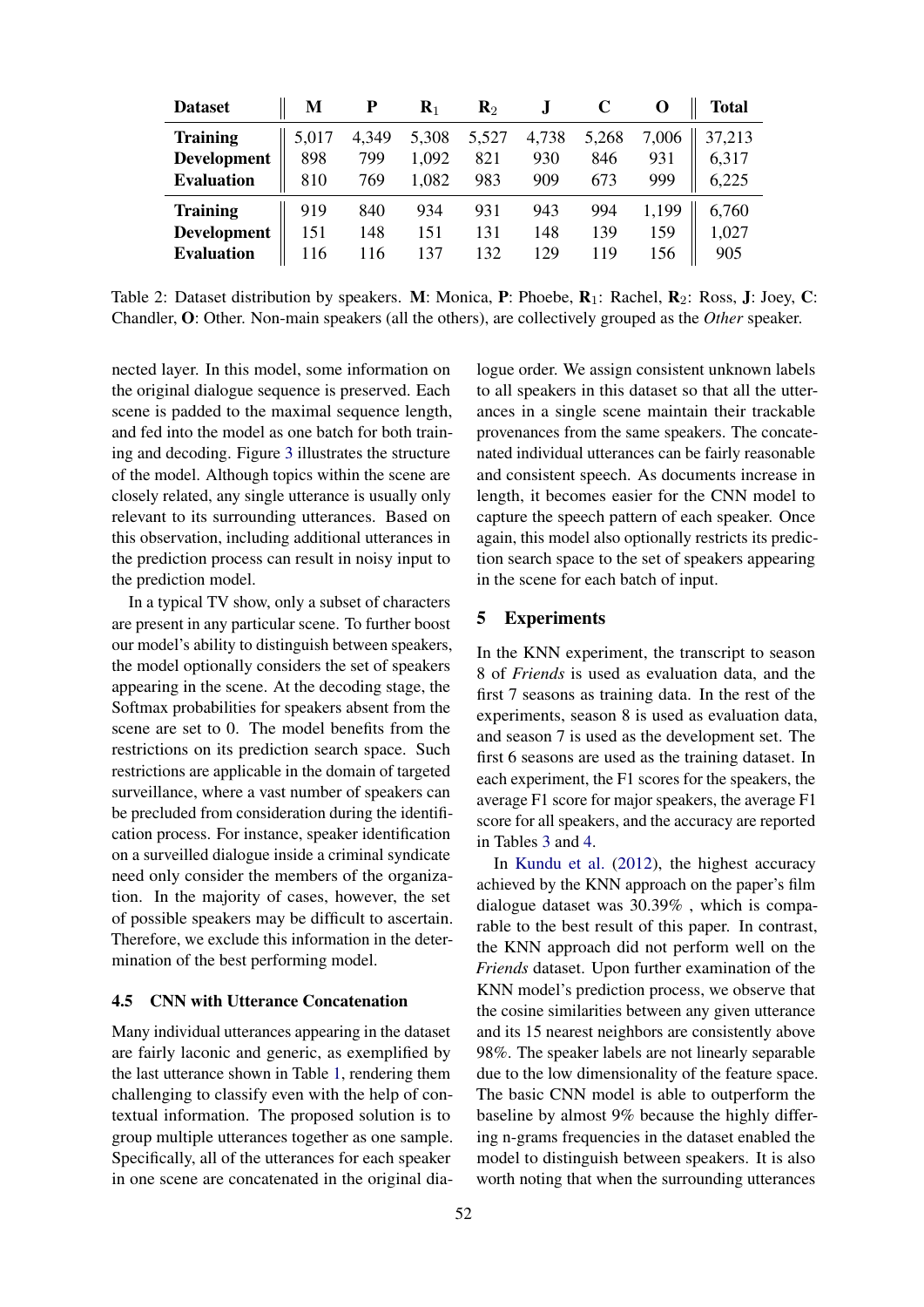| <b>Dataset</b>     | М     | P     | $\mathbf{R}_1$ | $\mathbf{R}_2$ |       |       |       | <b>Total</b> |
|--------------------|-------|-------|----------------|----------------|-------|-------|-------|--------------|
| <b>Training</b>    | 5,017 | 4,349 | 5,308          | 5,527          | 4,738 | 5,268 | 7,006 | 37,213       |
| <b>Development</b> | 898   | 799   | 1,092          | 821            | 930   | 846   | 931   | 6,317        |
| <b>Evaluation</b>  | 810   | 769   | 1,082          | 983            | 909   | 673   | 999   | 6,225        |
| <b>Training</b>    | 919   | 840   | 934            | 931            | 943   | 994   | 1,199 | 6,760        |
| Development        | 151   | 148   | 151            | 131            | 148   | 139   | 159   | 1,027        |
| <b>Evaluation</b>  | 116   | 116   | 137            | 132            | 129   | 119   | 156   | 905          |

Table 2: Dataset distribution by speakers. M: Monica, P: Phoebe, R<sub>1</sub>: Rachel, R<sub>2</sub>: Ross, J: Joey, C: Chandler, O: Other. Non-main speakers (all the others), are collectively grouped as the *Other* speaker.

nected layer. In this model, some information on the original dialogue sequence is preserved. Each scene is padded to the maximal sequence length, and fed into the model as one batch for both training and decoding. Figure 3 illustrates the structure of the model. Although topics within the scene are closely related, any single utterance is usually only relevant to its surrounding utterances. Based on this observation, including additional utterances in the prediction process can result in noisy input to the prediction model.

In a typical TV show, only a subset of characters are present in any particular scene. To further boost our model's ability to distinguish between speakers, the model optionally considers the set of speakers appearing in the scene. At the decoding stage, the Softmax probabilities for speakers absent from the scene are set to 0. The model benefits from the restrictions on its prediction search space. Such restrictions are applicable in the domain of targeted surveillance, where a vast number of speakers can be precluded from consideration during the identification process. For instance, speaker identification on a surveilled dialogue inside a criminal syndicate need only consider the members of the organization. In the majority of cases, however, the set of possible speakers may be difficult to ascertain. Therefore, we exclude this information in the determination of the best performing model.

#### 4.5 CNN with Utterance Concatenation

Many individual utterances appearing in the dataset are fairly laconic and generic, as exemplified by the last utterance shown in Table 1, rendering them challenging to classify even with the help of contextual information. The proposed solution is to group multiple utterances together as one sample. Specifically, all of the utterances for each speaker in one scene are concatenated in the original dia-

logue order. We assign consistent unknown labels to all speakers in this dataset so that all the utterances in a single scene maintain their trackable provenances from the same speakers. The concatenated individual utterances can be fairly reasonable and consistent speech. As documents increase in length, it becomes easier for the CNN model to capture the speech pattern of each speaker. Once again, this model also optionally restricts its prediction search space to the set of speakers appearing in the scene for each batch of input.

## 5 Experiments

In the KNN experiment, the transcript to season 8 of *Friends* is used as evaluation data, and the first 7 seasons as training data. In the rest of the experiments, season 8 is used as evaluation data, and season 7 is used as the development set. The first 6 seasons are used as the training dataset. In each experiment, the F1 scores for the speakers, the average F1 score for major speakers, the average F1 score for all speakers, and the accuracy are reported in Tables 3 and 4.

In Kundu et al. (2012), the highest accuracy achieved by the KNN approach on the paper's film dialogue dataset was 30.39% , which is comparable to the best result of this paper. In contrast, the KNN approach did not perform well on the *Friends* dataset. Upon further examination of the KNN model's prediction process, we observe that the cosine similarities between any given utterance and its 15 nearest neighbors are consistently above 98%. The speaker labels are not linearly separable due to the low dimensionality of the feature space. The basic CNN model is able to outperform the baseline by almost 9% because the highly differing n-grams frequencies in the dataset enabled the model to distinguish between speakers. It is also worth noting that when the surrounding utterances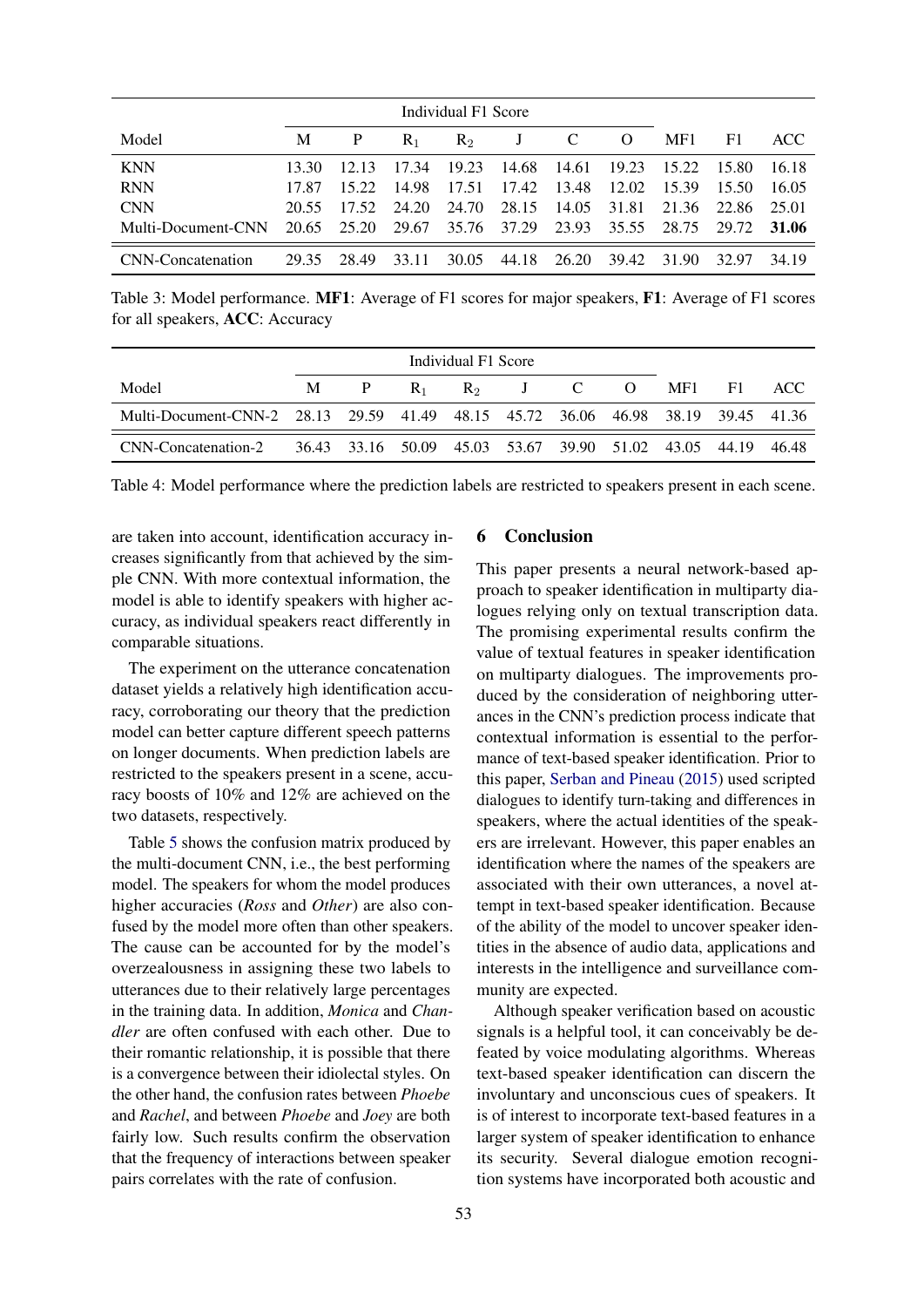| Individual F1 Score |       |       |       |                |             |             |              |       |        |       |
|---------------------|-------|-------|-------|----------------|-------------|-------------|--------------|-------|--------|-------|
| Model               | М     | P     | $R_1$ | R <sub>2</sub> | J           | $\mathbf C$ | <sup>O</sup> | MF1   | F1     | ACC   |
| <b>KNN</b>          | 13.30 | 12.13 | 17.34 | 19.23          | 14.68       | -14.61      | 19.23        | 15.22 | -15.80 | 16.18 |
| <b>RNN</b>          | 17.87 | 15.22 | 14.98 | 17.51          | 17.42       | 13.48       | 12.02        | 15.39 | 15.50  | 16.05 |
| <b>CNN</b>          | 20.55 | 17.52 | 24.20 | 24.70          | 28.15       | 14.05       | 31.81        | 21.36 | 22.86  | 25.01 |
| Multi-Document-CNN  | 20.65 | 25.20 | 29.67 |                | 35.76 37.29 | 23.93       | 35.55        | 28.75 | 29.72  | 31.06 |
| CNN-Concatenation   | 29.35 | 28.49 | 33.11 | 30.05          | 44.18       | 26.20       | 39.42        | 31.90 | 32.97  | 34.19 |

Table 3: Model performance. MF1: Average of F1 scores for major speakers, F1: Average of F1 scores for all speakers, ACC: Accuracy

| Individual F1 Score                                                              |   |              |       |  |  |                        |  |  |  |
|----------------------------------------------------------------------------------|---|--------------|-------|--|--|------------------------|--|--|--|
| Model                                                                            | M | $\mathbf{P}$ | $R_1$ |  |  | $R_2$ J C O MF1 F1 ACC |  |  |  |
| Multi-Document-CNN-2 28.13 29.59 41.49 48.15 45.72 36.06 46.98 38.19 39.45 41.36 |   |              |       |  |  |                        |  |  |  |
| CNN-Concatenation-2 36.43 33.16 50.09 45.03 53.67 39.90 51.02 43.05 44.19 46.48  |   |              |       |  |  |                        |  |  |  |

Table 4: Model performance where the prediction labels are restricted to speakers present in each scene.

are taken into account, identification accuracy increases significantly from that achieved by the simple CNN. With more contextual information, the model is able to identify speakers with higher accuracy, as individual speakers react differently in comparable situations.

The experiment on the utterance concatenation dataset yields a relatively high identification accuracy, corroborating our theory that the prediction model can better capture different speech patterns on longer documents. When prediction labels are restricted to the speakers present in a scene, accuracy boosts of 10% and 12% are achieved on the two datasets, respectively.

Table 5 shows the confusion matrix produced by the multi-document CNN, i.e., the best performing model. The speakers for whom the model produces higher accuracies (*Ross* and *Other*) are also confused by the model more often than other speakers. The cause can be accounted for by the model's overzealousness in assigning these two labels to utterances due to their relatively large percentages in the training data. In addition, *Monica* and *Chandler* are often confused with each other. Due to their romantic relationship, it is possible that there is a convergence between their idiolectal styles. On the other hand, the confusion rates between *Phoebe* and *Rachel*, and between *Phoebe* and *Joey* are both fairly low. Such results confirm the observation that the frequency of interactions between speaker pairs correlates with the rate of confusion.

# 6 Conclusion

This paper presents a neural network-based approach to speaker identification in multiparty dialogues relying only on textual transcription data. The promising experimental results confirm the value of textual features in speaker identification on multiparty dialogues. The improvements produced by the consideration of neighboring utterances in the CNN's prediction process indicate that contextual information is essential to the performance of text-based speaker identification. Prior to this paper, Serban and Pineau (2015) used scripted dialogues to identify turn-taking and differences in speakers, where the actual identities of the speakers are irrelevant. However, this paper enables an identification where the names of the speakers are associated with their own utterances, a novel attempt in text-based speaker identification. Because of the ability of the model to uncover speaker identities in the absence of audio data, applications and interests in the intelligence and surveillance community are expected.

Although speaker verification based on acoustic signals is a helpful tool, it can conceivably be defeated by voice modulating algorithms. Whereas text-based speaker identification can discern the involuntary and unconscious cues of speakers. It is of interest to incorporate text-based features in a larger system of speaker identification to enhance its security. Several dialogue emotion recognition systems have incorporated both acoustic and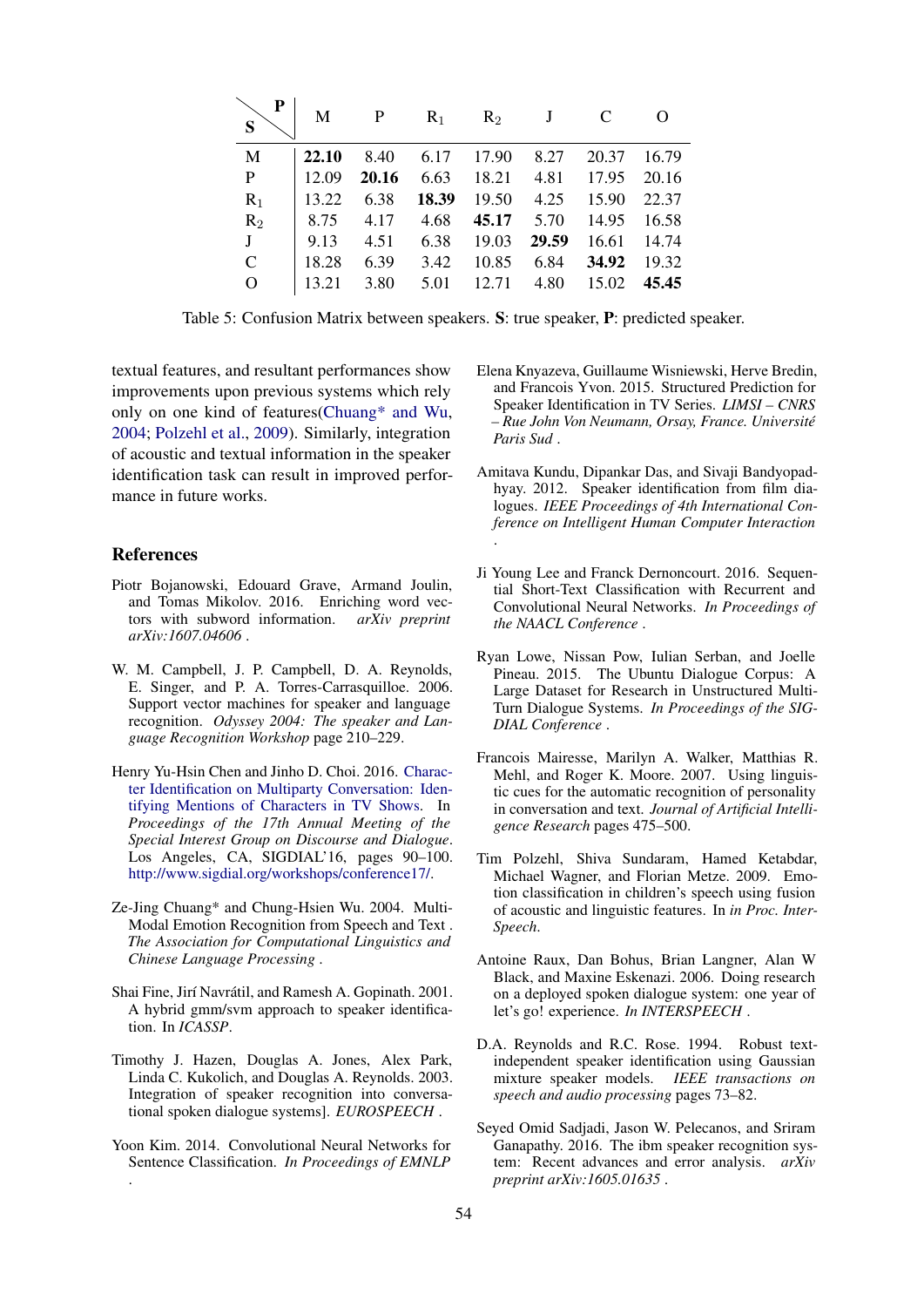| P<br>S      | M     | $\mathbf{P}$ | $R_1$ | $R_2$ | J     |             |         |
|-------------|-------|--------------|-------|-------|-------|-------------|---------|
| M           | 22.10 | 8.40         | 6.17  | 17.90 | 8.27  | 20.37       | 16.79   |
| $\mathbf P$ | 12.09 | 20.16        | 6.63  | 18.21 | 4.81  | 17.95 20.16 |         |
| $R_1$       | 13.22 | 6.38         | 18.39 | 19.50 | 4.25  | 15.90       | 22.37   |
| $R_2$       | 8.75  | 4.17         | 4.68  | 45.17 | 5.70  | 14.95       | - 16.58 |
| $J_{-}$     | 9.13  | 4.51         | 6.38  | 19.03 | 29.59 | 16.61       | 14.74   |
| $\mathbf C$ | 18.28 | 6.39         | 3.42  | 10.85 | 6.84  | 34.92       | 19.32   |
| $\Omega$    | 13.21 | 3.80         | 5.01  | 12.71 | 4.80  | 15.02       | 45.45   |

Table 5: Confusion Matrix between speakers. S: true speaker, P: predicted speaker.

textual features, and resultant performances show improvements upon previous systems which rely only on one kind of features(Chuang\* and Wu, 2004; Polzehl et al., 2009). Similarly, integration of acoustic and textual information in the speaker identification task can result in improved performance in future works.

# References

- Piotr Bojanowski, Edouard Grave, Armand Joulin, and Tomas Mikolov. 2016. Enriching word vectors with subword information. *arXiv preprint arXiv:1607.04606* .
- W. M. Campbell, J. P. Campbell, D. A. Reynolds, E. Singer, and P. A. Torres-Carrasquilloe. 2006. Support vector machines for speaker and language recognition. *Odyssey 2004: The speaker and Language Recognition Workshop* page 210–229.
- Henry Yu-Hsin Chen and Jinho D. Choi. 2016. Character Identification on Multiparty Conversation: Identifying Mentions of Characters in TV Shows. In *Proceedings of the 17th Annual Meeting of the Special Interest Group on Discourse and Dialogue*. Los Angeles, CA, SIGDIAL'16, pages 90–100. http://www.sigdial.org/workshops/conference17/.
- Ze-Jing Chuang\* and Chung-Hsien Wu. 2004. Multi-Modal Emotion Recognition from Speech and Text . *The Association for Computational Linguistics and Chinese Language Processing* .
- Shai Fine, Jirí Navrátil, and Ramesh A. Gopinath. 2001. A hybrid gmm/svm approach to speaker identification. In *ICASSP*.
- Timothy J. Hazen, Douglas A. Jones, Alex Park, Linda C. Kukolich, and Douglas A. Reynolds. 2003. Integration of speaker recognition into conversational spoken dialogue systems]. *EUROSPEECH* .
- Yoon Kim. 2014. Convolutional Neural Networks for Sentence Classification. *In Proceedings of EMNLP* .
- Elena Knyazeva, Guillaume Wisniewski, Herve Bredin, and Francois Yvon. 2015. Structured Prediction for Speaker Identification in TV Series. *LIMSI – CNRS – Rue John Von Neumann, Orsay, France. Universite´ Paris Sud* .
- Amitava Kundu, Dipankar Das, and Sivaji Bandyopadhyay. 2012. Speaker identification from film dialogues. *IEEE Proceedings of 4th International Conference on Intelligent Human Computer Interaction* .
- Ji Young Lee and Franck Dernoncourt. 2016. Sequential Short-Text Classification with Recurrent and Convolutional Neural Networks. *In Proceedings of the NAACL Conference* .
- Ryan Lowe, Nissan Pow, Iulian Serban, and Joelle Pineau. 2015. The Ubuntu Dialogue Corpus: A Large Dataset for Research in Unstructured Multi-Turn Dialogue Systems. *In Proceedings of the SIG-DIAL Conference* .
- Francois Mairesse, Marilyn A. Walker, Matthias R. Mehl, and Roger K. Moore. 2007. Using linguistic cues for the automatic recognition of personality in conversation and text. *Journal of Artificial Intelligence Research* pages 475–500.
- Tim Polzehl, Shiva Sundaram, Hamed Ketabdar, Michael Wagner, and Florian Metze. 2009. Emotion classification in children's speech using fusion of acoustic and linguistic features. In *in Proc. Inter-Speech*.
- Antoine Raux, Dan Bohus, Brian Langner, Alan W Black, and Maxine Eskenazi. 2006. Doing research on a deployed spoken dialogue system: one year of let's go! experience. *In INTERSPEECH* .
- D.A. Reynolds and R.C. Rose. 1994. Robust textindependent speaker identification using Gaussian mixture speaker models. *IEEE transactions on speech and audio processing* pages 73–82.
- Seyed Omid Sadjadi, Jason W. Pelecanos, and Sriram Ganapathy. 2016. The ibm speaker recognition system: Recent advances and error analysis. *arXiv preprint arXiv:1605.01635* .